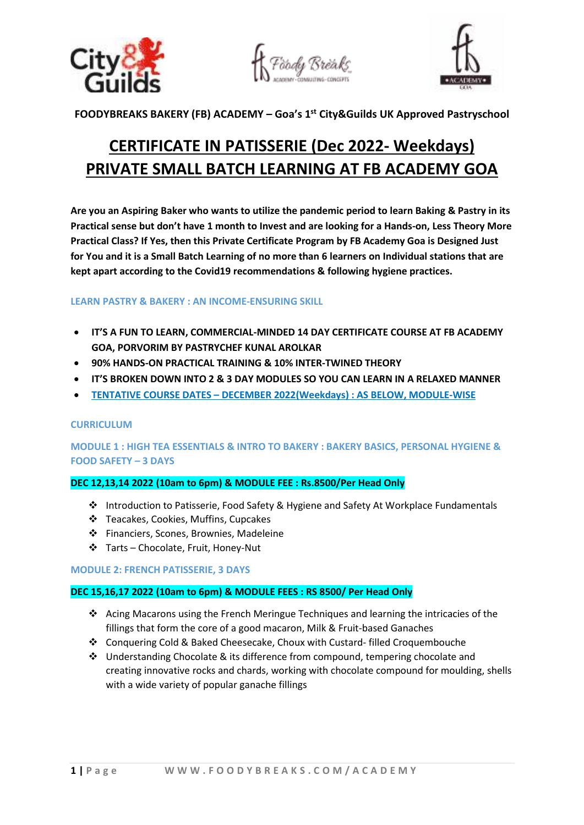





**FOODYBREAKS BAKERY (FB) ACADEMY – Goa's 1st City&Guilds UK Approved Pastryschool** 

# **CERTIFICATE IN PATISSERIE (Dec 2022- Weekdays) PRIVATE SMALL BATCH LEARNING AT FB ACADEMY GOA**

**Are you an Aspiring Baker who wants to utilize the pandemic period to learn Baking & Pastry in its Practical sense but don't have 1 month to Invest and are looking for a Hands-on, Less Theory More Practical Class? If Yes, then this Private Certificate Program by FB Academy Goa is Designed Just for You and it is a Small Batch Learning of no more than 6 learners on Individual stations that are kept apart according to the Covid19 recommendations & following hygiene practices.** 

# **LEARN PASTRY & BAKERY : AN INCOME-ENSURING SKILL**

- **IT'S A FUN TO LEARN, COMMERCIAL-MINDED 14 DAY CERTIFICATE COURSE AT FB ACADEMY GOA, PORVORIM BY PASTRYCHEF KUNAL AROLKAR**
- **90% HANDS-ON PRACTICAL TRAINING & 10% INTER-TWINED THEORY**
- **IT'S BROKEN DOWN INTO 2 & 3 DAY MODULES SO YOU CAN LEARN IN A RELAXED MANNER**
- **TENTATIVE COURSE DATES DECEMBER 2022(Weekdays) : AS BELOW, MODULE-WISE**

# **CURRICULUM**

**MODULE 1 : HIGH TEA ESSENTIALS & INTRO TO BAKERY : BAKERY BASICS, PERSONAL HYGIENE & FOOD SAFETY – 3 DAYS** 

# **DEC 12,13,14 2022 (10am to 6pm) & MODULE FEE : Rs.8500/Per Head Only**

- Introduction to Patisserie, Food Safety & Hygiene and Safety At Workplace Fundamentals
- Teacakes, Cookies, Muffins, Cupcakes
- Financiers, Scones, Brownies, Madeleine
- Tarts Chocolate, Fruit, Honey-Nut

#### **MODULE 2: FRENCH PATISSERIE, 3 DAYS**

# **DEC 15,16,17 2022 (10am to 6pm) & MODULE FEES : RS 8500/ Per Head Only**

- $\cdot \cdot$  Acing Macarons using the French Meringue Techniques and learning the intricacies of the fillings that form the core of a good macaron, Milk & Fruit-based Ganaches
- Conquering Cold & Baked Cheesecake, Choux with Custard- filled Croquembouche
- Understanding Chocolate & its difference from compound, tempering chocolate and creating innovative rocks and chards, working with chocolate compound for moulding, shells with a wide variety of popular ganache fillings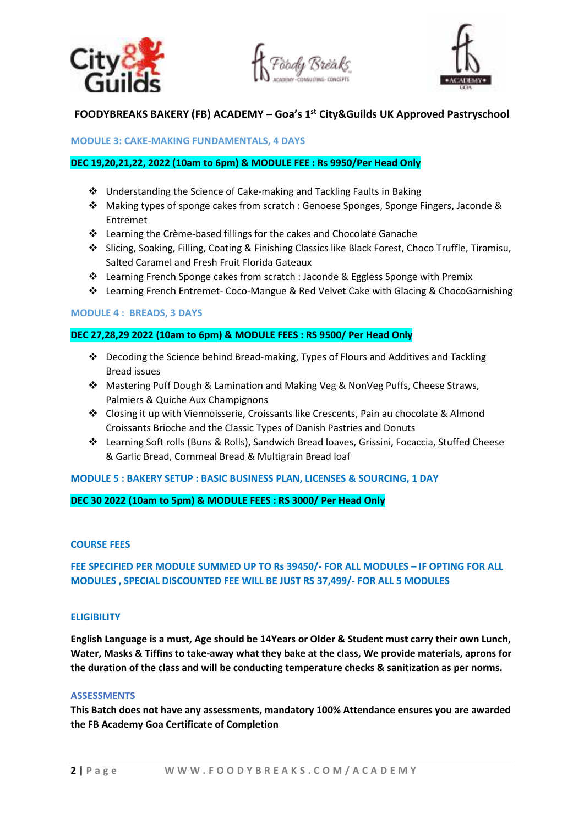





# **FOODYBREAKS BAKERY (FB) ACADEMY – Goa's 1st City&Guilds UK Approved Pastryschool**

#### **MODULE 3: CAKE-MAKING FUNDAMENTALS, 4 DAYS**

#### **DEC 19,20,21,22, 2022 (10am to 6pm) & MODULE FEE : Rs 9950/Per Head Only**

- Understanding the Science of Cake-making and Tackling Faults in Baking
- Making types of sponge cakes from scratch : Genoese Sponges, Sponge Fingers, Jaconde & Entremet
- $\cdot \cdot$  Learning the Crème-based fillings for the cakes and Chocolate Ganache
- Slicing, Soaking, Filling, Coating & Finishing Classics like Black Forest, Choco Truffle, Tiramisu, Salted Caramel and Fresh Fruit Florida Gateaux
- Learning French Sponge cakes from scratch : Jaconde & Eggless Sponge with Premix
- Learning French Entremet- Coco-Mangue & Red Velvet Cake with Glacing & ChocoGarnishing

#### **MODULE 4 : BREADS, 3 DAYS**

#### **DEC 27,28,29 2022 (10am to 6pm) & MODULE FEES : RS 9500/ Per Head Only**

- Decoding the Science behind Bread-making, Types of Flours and Additives and Tackling Bread issues
- Mastering Puff Dough & Lamination and Making Veg & NonVeg Puffs, Cheese Straws, Palmiers & Quiche Aux Champignons
- Closing it up with Viennoisserie, Croissants like Crescents, Pain au chocolate & Almond Croissants Brioche and the Classic Types of Danish Pastries and Donuts
- Learning Soft rolls (Buns & Rolls), Sandwich Bread loaves, Grissini, Focaccia, Stuffed Cheese & Garlic Bread, Cornmeal Bread & Multigrain Bread loaf

#### **MODULE 5 : BAKERY SETUP : BASIC BUSINESS PLAN, LICENSES & SOURCING, 1 DAY**

#### **DEC 30 2022 (10am to 5pm) & MODULE FEES : RS 3000/ Per Head Only**

#### **COURSE FEES**

# **FEE SPECIFIED PER MODULE SUMMED UP TO Rs 39450/- FOR ALL MODULES – IF OPTING FOR ALL MODULES , SPECIAL DISCOUNTED FEE WILL BE JUST RS 37,499/- FOR ALL 5 MODULES**

#### **ELIGIBILITY**

**English Language is a must, Age should be 14Years or Older & Student must carry their own Lunch, Water, Masks & Tiffins to take-away what they bake at the class, We provide materials, aprons for the duration of the class and will be conducting temperature checks & sanitization as per norms.** 

#### **ASSESSMENTS**

**This Batch does not have any assessments, mandatory 100% Attendance ensures you are awarded the FB Academy Goa Certificate of Completion**